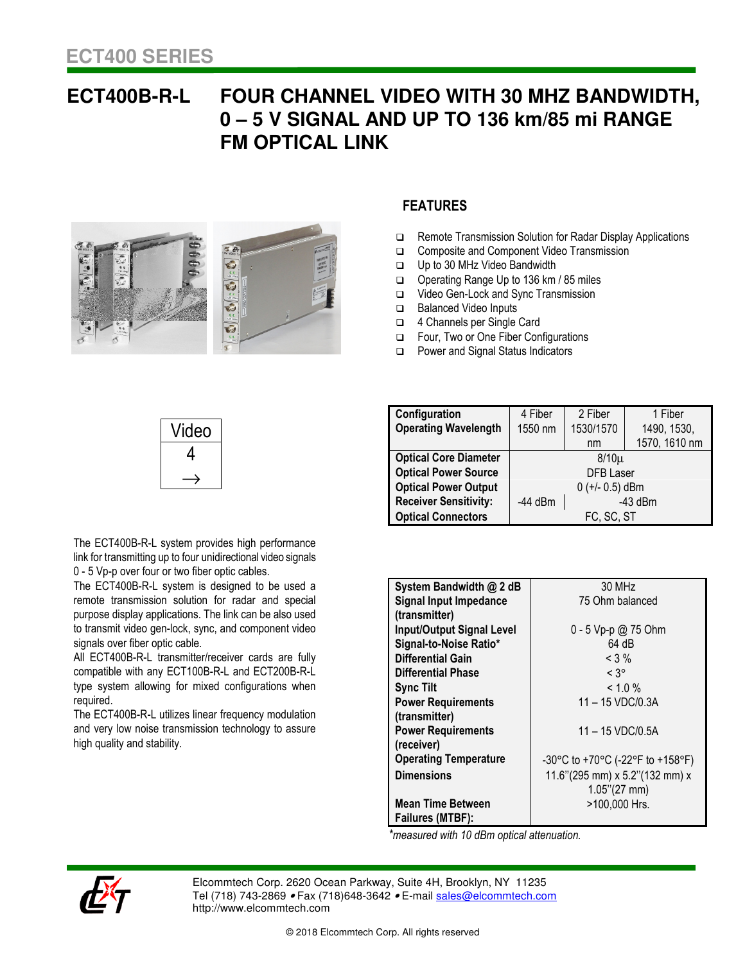## **ECT400B-R-L FOUR CHANNEL VIDEO WITH 30 MHZ BANDWIDTH, 0 – 5 V SIGNAL AND UP TO 136 km/85 mi RANGE FM OPTICAL LINK**



## **FEATURES**

- □ Remote Transmission Solution for Radar Display Applications
- □ Composite and Component Video Transmission
- Up to 30 MHz Video Bandwidth
- Operating Range Up to 136 km / 85 miles
- □ Video Gen-Lock and Sync Transmission
- Balanced Video Inputs
- 4 Channels per Single Card
- Four, Two or One Fiber Configurations
- D Power and Signal Status Indicators

| √ideo |
|-------|
|       |
|       |

The ECT400B-R-L system provides high performance link for transmitting up to four unidirectional video signals 0 - 5 Vp-p over four or two fiber optic cables.

The ECT400B-R-L system is designed to be used a remote transmission solution for radar and special purpose display applications. The link can be also used to transmit video gen-lock, sync, and component video signals over fiber optic cable.

rype syst<br>required. All ECT400B-R-L transmitter/receiver cards are fully compatible with any ECT100B-R-L and ECT200B-R-L type system allowing for mixed configurations when

The ECT400B-R-L utilizes linear frequency modulation and very low noise transmission technology to assure high quality and stability.

| Configuration                | 4 Fiber          | 2 Fiber           | 1 Fiber       |
|------------------------------|------------------|-------------------|---------------|
| <b>Operating Wavelength</b>  | 1550 nm          | 1530/1570         | 1490, 1530,   |
|                              |                  | nm                | 1570, 1610 nm |
| <b>Optical Core Diameter</b> | $8/10\mu$        |                   |               |
| <b>Optical Power Source</b>  | <b>DFB</b> Laser |                   |               |
| <b>Optical Power Output</b>  |                  | $0 (+/- 0.5)$ dBm |               |
| <b>Receiver Sensitivity:</b> | $-44$ dBm        |                   | $-43$ dBm     |
| <b>Optical Connectors</b>    |                  | FC, SC, ST        |               |

| System Bandwidth @ 2 dB          | 30 MHz                           |  |  |
|----------------------------------|----------------------------------|--|--|
| <b>Signal Input Impedance</b>    | 75 Ohm balanced                  |  |  |
| (transmitter)                    |                                  |  |  |
| <b>Input/Output Signal Level</b> | 0 - 5 Vp-p @ 75 Ohm              |  |  |
| Signal-to-Noise Ratio*           | 64 dB                            |  |  |
| <b>Differential Gain</b>         | $< 3\%$                          |  |  |
| Differential Phase               | $< 3^\circ$                      |  |  |
| <b>Sync Tilt</b>                 | $< 1.0 \%$                       |  |  |
| <b>Power Requirements</b>        | 11 - 15 VDC/0.3A                 |  |  |
| (transmitter)                    |                                  |  |  |
| <b>Power Requirements</b>        | 11 - 15 VDC/0.5A                 |  |  |
| (receiver)                       |                                  |  |  |
| <b>Operating Temperature</b>     | -30°C to +70°C (-22°F to +158°F) |  |  |
| <b>Dimensions</b>                | 11.6"(295 mm) x 5.2"(132 mm) x   |  |  |
|                                  | $1.05$ "(27 mm)                  |  |  |
| <b>Mean Time Between</b>         | >100,000 Hrs.                    |  |  |
| Failures (MTBF):                 |                                  |  |  |

*\*measured with 10 dBm optical attenuation.* 



Elcommtech Corp. 2620 Ocean Parkway, Suite 4H, Brooklyn, NY 11235 Tel (718) 743-2869 • Fax (718) 648-3642 • E-mail sales@elcommtech.com http://www.elcommtech.com